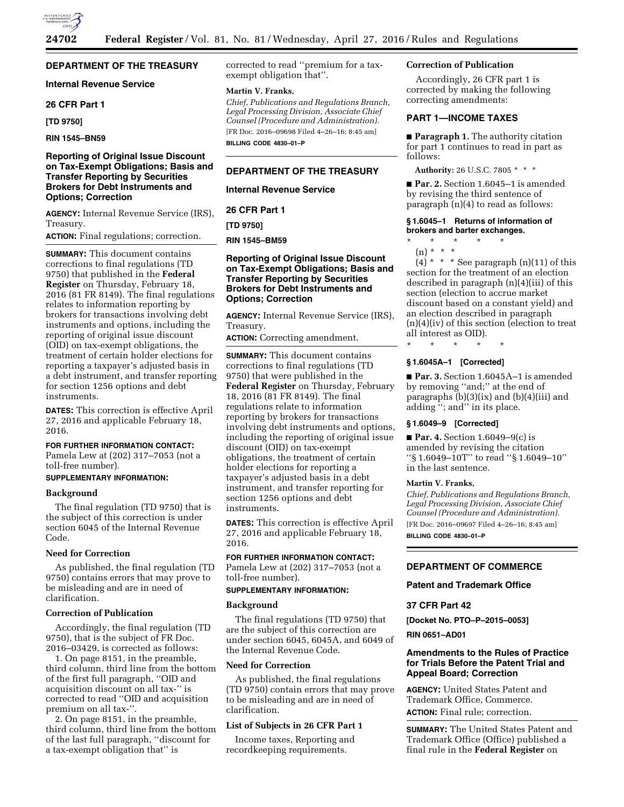## **DEPARTMENT OF THE TREASURY**

## **Internal Revenue Service**

#### **26 CFR Part 1**

**[TD 9750]** 

**RIN 1545–BN59** 

## **Reporting of Original Issue Discount on Tax-Exempt Obligations; Basis and Transfer Reporting by Securities Brokers for Debt Instruments and Options; Correction**

**AGENCY:** Internal Revenue Service (IRS), Treasury.

**ACTION:** Final regulations; correction.

**SUMMARY:** This document contains corrections to final regulations (TD 9750) that published in the **Federal Register** on Thursday, February 18, 2016 (81 FR 8149). The final regulations relates to information reporting by brokers for transactions involving debt instruments and options, including the reporting of original issue discount (OID) on tax-exempt obligations, the treatment of certain holder elections for reporting a taxpayer's adjusted basis in a debt instrument, and transfer reporting for section 1256 options and debt instruments.

**DATES:** This correction is effective April 27, 2016 and applicable February 18, 2016.

## **FOR FURTHER INFORMATION CONTACT:**

Pamela Lew at (202) 317–7053 (not a toll-free number).

## **SUPPLEMENTARY INFORMATION:**

#### **Background**

The final regulation (TD 9750) that is the subject of this correction is under section 6045 of the Internal Revenue Code.

#### **Need for Correction**

As published, the final regulation (TD 9750) contains errors that may prove to be misleading and are in need of clarification.

#### **Correction of Publication**

Accordingly, the final regulation (TD 9750), that is the subject of FR Doc. 2016–03429, is corrected as follows:

1. On page 8151, in the preamble, third column, third line from the bottom of the first full paragraph, ''OID and acquisition discount on all tax-'' is corrected to read ''OID and acquisition premium on all tax-''.

2. On page 8151, in the preamble, third column, third line from the bottom of the last full paragraph, ''discount for a tax-exempt obligation that'' is

corrected to read ''premium for a taxexempt obligation that''.

#### **Martin V. Franks,**

*Chief, Publications and Regulations Branch, Legal Processing Division, Associate Chief Counsel (Procedure and Administration).*  [FR Doc. 2016–09698 Filed 4–26–16; 8:45 am] **BILLING CODE 4830–01–P** 

#### **DEPARTMENT OF THE TREASURY**

**Internal Revenue Service** 

**26 CFR Part 1** 

**[TD 9750]** 

**RIN 1545–BM59** 

## **Reporting of Original Issue Discount on Tax-Exempt Obligations; Basis and Transfer Reporting by Securities Brokers for Debt Instruments and Options; Correction**

**AGENCY:** Internal Revenue Service (IRS), Treasury.

**ACTION:** Correcting amendment.

**SUMMARY:** This document contains corrections to final regulations (TD 9750) that were published in the **Federal Register** on Thursday, February 18, 2016 (81 FR 8149). The final regulations relate to information reporting by brokers for transactions involving debt instruments and options, including the reporting of original issue discount (OID) on tax-exempt obligations, the treatment of certain holder elections for reporting a taxpayer's adjusted basis in a debt instrument, and transfer reporting for section 1256 options and debt instruments.

**DATES:** This correction is effective April 27, 2016 and applicable February 18, 2016.

## **FOR FURTHER INFORMATION CONTACT:**

Pamela Lew at (202) 317–7053 (not a toll-free number).

# **SUPPLEMENTARY INFORMATION:**

#### **Background**

The final regulations (TD 9750) that are the subject of this correction are under section 6045, 6045A, and 6049 of the Internal Revenue Code.

#### **Need for Correction**

As published, the final regulations (TD 9750) contain errors that may prove to be misleading and are in need of clarification.

## **List of Subjects in 26 CFR Part 1**

Income taxes, Reporting and recordkeeping requirements.

#### **Correction of Publication**

Accordingly, 26 CFR part 1 is corrected by making the following correcting amendments:

## **PART 1—INCOME TAXES**

■ **Paragraph 1.** The authority citation for part 1 continues to read in part as follows:

**Authority:** 26 U.S.C. 7805 \* \* \*

■ **Par. 2.** Section 1.6045–1 is amended by revising the third sentence of paragraph (n)(4) to read as follows:

#### **§ 1.6045–1 Returns of information of brokers and barter exchanges.**

- \* \* \* \* \*
	- (n) \* \* \*

 $(4)$  \* \* \* See paragraph  $(n)(11)$  of this section for the treatment of an election described in paragraph (n)(4)(iii) of this section (election to accrue market discount based on a constant yield) and an election described in paragraph (n)(4)(iv) of this section (election to treat all interest as OID).

\* \* \* \* \*

# **§ 1.6045A–1 [Corrected]**

■ **Par. 3.** Section 1.6045A–1 is amended by removing ''and;'' at the end of paragraphs (b)(3)(ix) and (b)(4)(iii) and adding ''; and'' in its place.

#### **§ 1.6049–9 [Corrected]**

■ **Par. 4.** Section 1.6049–9(c) is amended by revising the citation ''§ 1.6049–10T'' to read ''§ 1.6049–10'' in the last sentence.

#### **Martin V. Franks,**

*Chief, Publications and Regulations Branch, Legal Processing Division, Associate Chief Counsel (Procedure and Administration).*  [FR Doc. 2016–09697 Filed 4–26–16; 8:45 am] **BILLING CODE 4830–01–P** 

#### **DEPARTMENT OF COMMERCE**

**Patent and Trademark Office** 

## **37 CFR Part 42**

**[Docket No. PTO–P–2015–0053]** 

**RIN 0651–AD01** 

#### **Amendments to the Rules of Practice for Trials Before the Patent Trial and Appeal Board; Correction**

**AGENCY:** United States Patent and Trademark Office, Commerce. **ACTION:** Final rule; correction.

**SUMMARY:** The United States Patent and Trademark Office (Office) published a final rule in the **Federal Register** on